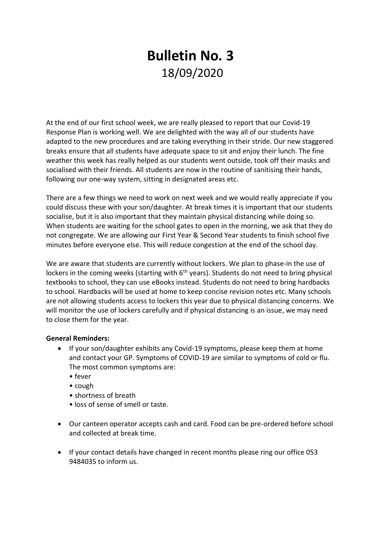## **Bulletin No. 3** 18/09/2020

At the end of our first school week, we are really pleased to report that our Covid-19 Response Plan is working well. We are delighted with the way all of our students have adapted to the new procedures and are taking everything in their stride. Our new staggered breaks ensure that all students have adequate space to sit and enjoy their lunch. The fine weather this week has really helped as our students went outside, took off their masks and socialised with their friends. All students are now in the routine of sanitising their hands, following our one-way system, sitting in designated areas etc.

There are a few things we need to work on next week and we would really appreciate if you could discuss these with your son/daughter. At break times it is important that our students socialise, but it is also important that they maintain physical distancing while doing so. When students are waiting for the school gates to open in the morning, we ask that they do not congregate. We are allowing our First Year & Second Year students to finish school five minutes before everyone else. This will reduce congestion at the end of the school day.

We are aware that students are currently without lockers. We plan to phase-in the use of lockers in the coming weeks (starting with 6<sup>th</sup> years). Students do not need to bring physical textbooks to school, they can use eBooks instead. Students do not need to bring hardbacks to school. Hardbacks will be used at home to keep concise revision notes etc. Many schools are not allowing students access to lockers this year due to physical distancing concerns. We will monitor the use of lockers carefully and if physical distancing is an issue, we may need to close them for the year.

## **General Reminders:**

- If your son/daughter exhibits any Covid-19 symptoms, please keep them at home and contact your GP. Symptoms of COVID-19 are similar to symptoms of cold or flu. The most common symptoms are:
	- fever
	- cough
	- shortness of breath
	- loss of sense of smell or taste.
- Our canteen operator accepts cash and card. Food can be pre-ordered before school and collected at break time.
- If your contact details have changed in recent months please ring our office 053 9484035 to inform us.